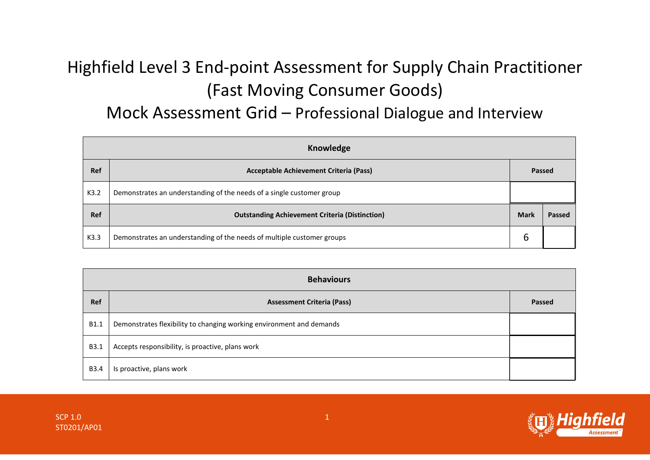## Highfield Level 3 End-point Assessment for Supply Chain Practitioner (Fast Moving Consumer Goods)

## Mock Assessment Grid – Professional Dialogue and Interview

| Knowledge  |                                                                        |             |        |  |  |
|------------|------------------------------------------------------------------------|-------------|--------|--|--|
| <b>Ref</b> | <b>Acceptable Achievement Criteria (Pass)</b>                          |             | Passed |  |  |
| K3.2       | Demonstrates an understanding of the needs of a single customer group  |             |        |  |  |
| Ref        | <b>Outstanding Achievement Criteria (Distinction)</b>                  | <b>Mark</b> | Passed |  |  |
| K3.3       | Demonstrates an understanding of the needs of multiple customer groups | ь           |        |  |  |

| <b>Behaviours</b> |                                                                      |        |  |
|-------------------|----------------------------------------------------------------------|--------|--|
| Ref               | <b>Assessment Criteria (Pass)</b>                                    | Passed |  |
| B1.1              | Demonstrates flexibility to changing working environment and demands |        |  |
| B3.1              | Accepts responsibility, is proactive, plans work                     |        |  |
| B3.4              | Is proactive, plans work                                             |        |  |



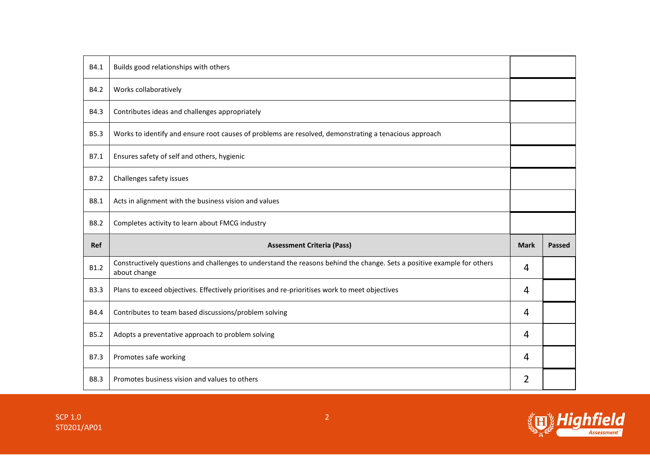| B4.1        | Builds good relationships with others                                                                                                   |             |               |
|-------------|-----------------------------------------------------------------------------------------------------------------------------------------|-------------|---------------|
| B4.2        | Works collaboratively                                                                                                                   |             |               |
| B4.3        | Contributes ideas and challenges appropriately                                                                                          |             |               |
| <b>B5.3</b> | Works to identify and ensure root causes of problems are resolved, demonstrating a tenacious approach                                   |             |               |
| B7.1        | Ensures safety of self and others, hygienic                                                                                             |             |               |
| B7.2        | Challenges safety issues                                                                                                                |             |               |
| B8.1        | Acts in alignment with the business vision and values                                                                                   |             |               |
| B8.2        | Completes activity to learn about FMCG industry                                                                                         |             |               |
|             |                                                                                                                                         |             |               |
| Ref         | <b>Assessment Criteria (Pass)</b>                                                                                                       | <b>Mark</b> | <b>Passed</b> |
| B1.2        | Constructively questions and challenges to understand the reasons behind the change. Sets a positive example for others<br>about change | 4           |               |
| <b>B3.3</b> | Plans to exceed objectives. Effectively prioritises and re-prioritises work to meet objectives                                          | 4           |               |
| B4.4        | Contributes to team based discussions/problem solving                                                                                   | 4           |               |
| <b>B5.2</b> | Adopts a preventative approach to problem solving                                                                                       | 4           |               |
| B7.3        | Promotes safe working                                                                                                                   | 4           |               |